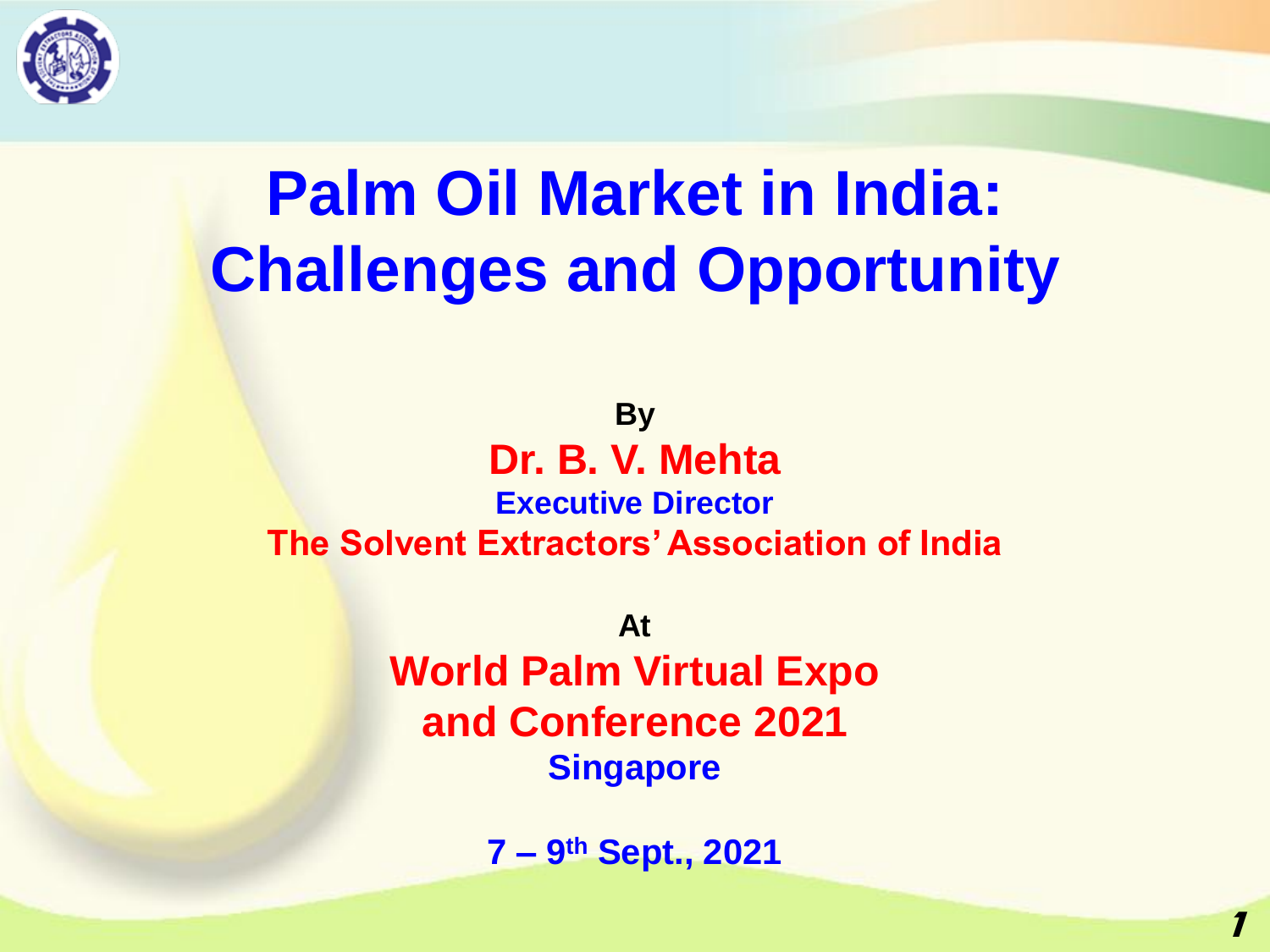

# **Palm Oil Market in India: Challenges and Opportunity**

**By Dr. B. V. Mehta Executive Director The Solvent Extractors' Association of India**

> **At World Palm Virtual Expo and Conference 2021 Singapore**

> > **7 – 9 th Sept., 2021**

**1**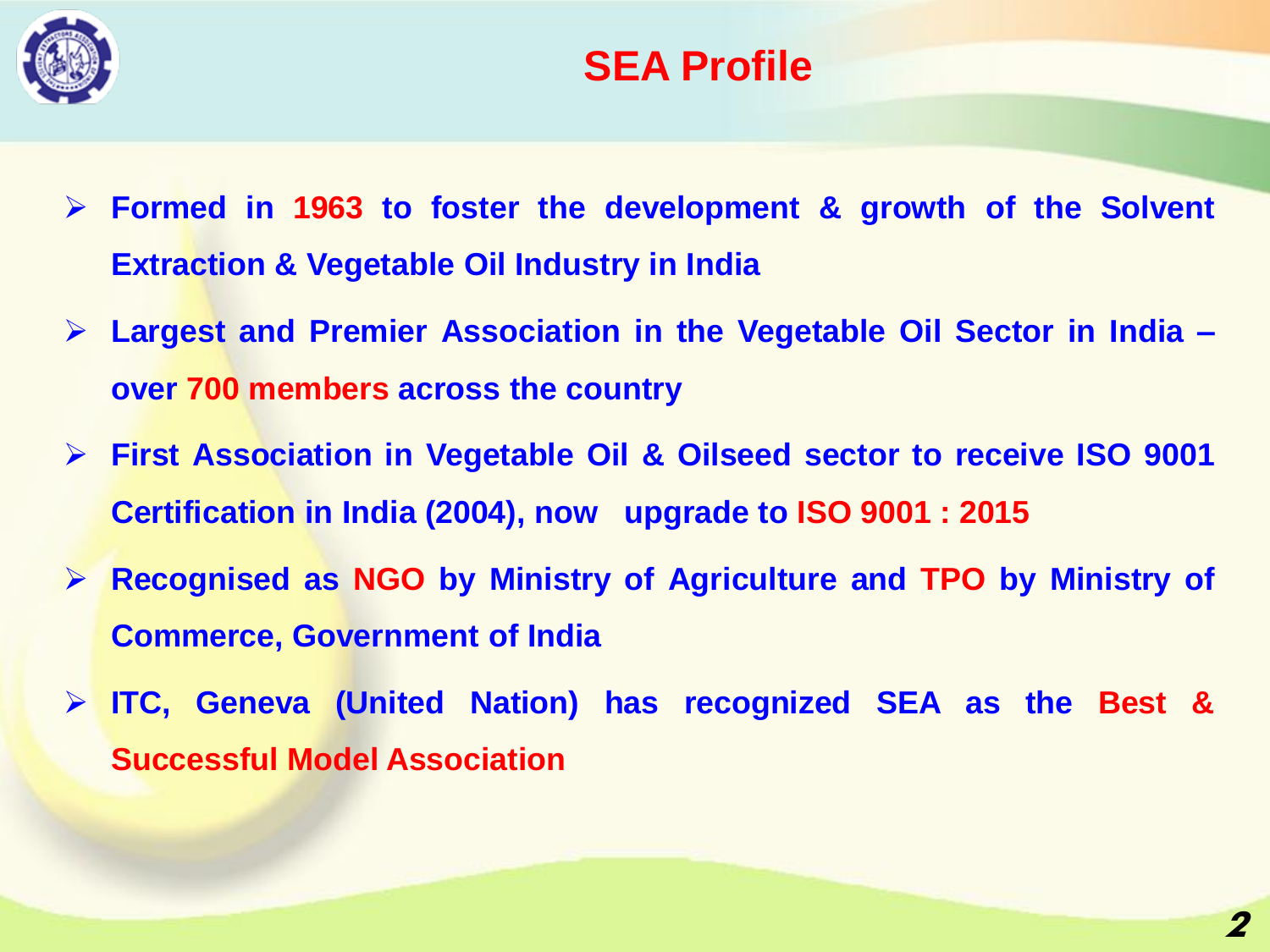

#### **SEA Profile**

- ➢ **Formed in 1963 to foster the development & growth of the Solvent Extraction & Vegetable Oil Industry in India**
- ➢ **Largest and Premier Association in the Vegetable Oil Sector in India – over 700 members across the country**
- ➢ **First Association in Vegetable Oil & Oilseed sector to receive ISO 9001 Certification in India (2004), now upgrade to ISO 9001 : 2015**
- ➢ **Recognised as NGO by Ministry of Agriculture and TPO by Ministry of Commerce, Government of India**
- ➢ **ITC, Geneva (United Nation) has recognized SEA as the Best & Successful Model Association**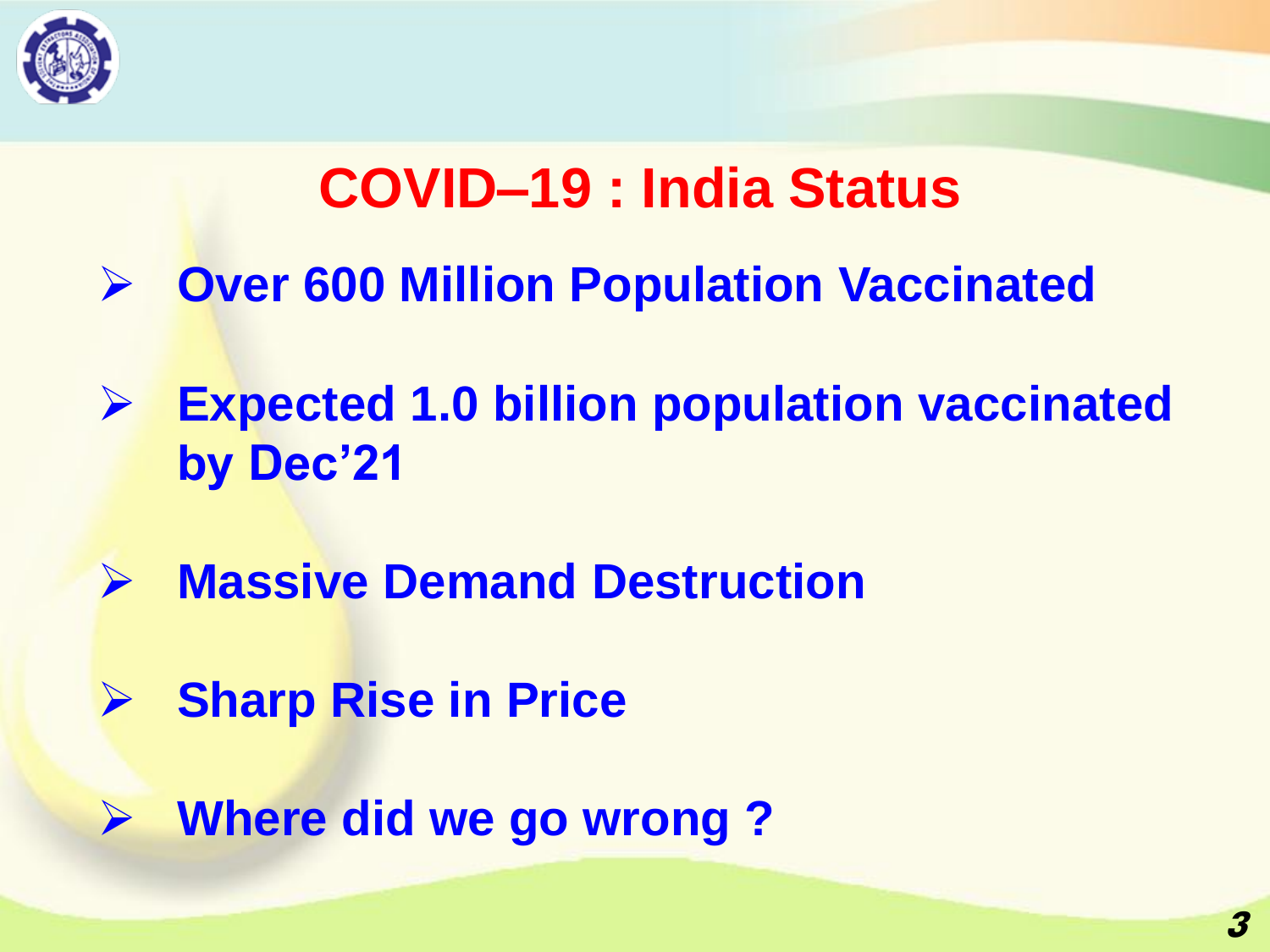

## **COVID–19 : India Status**

- ➢ **Over 600 Million Population Vaccinated**
- ➢ **Expected 1.0 billion population vaccinated by Dec'21**
- ➢ **Massive Demand Destruction**
- ➢ **Sharp Rise in Price**
- ➢ **Where did we go wrong ?**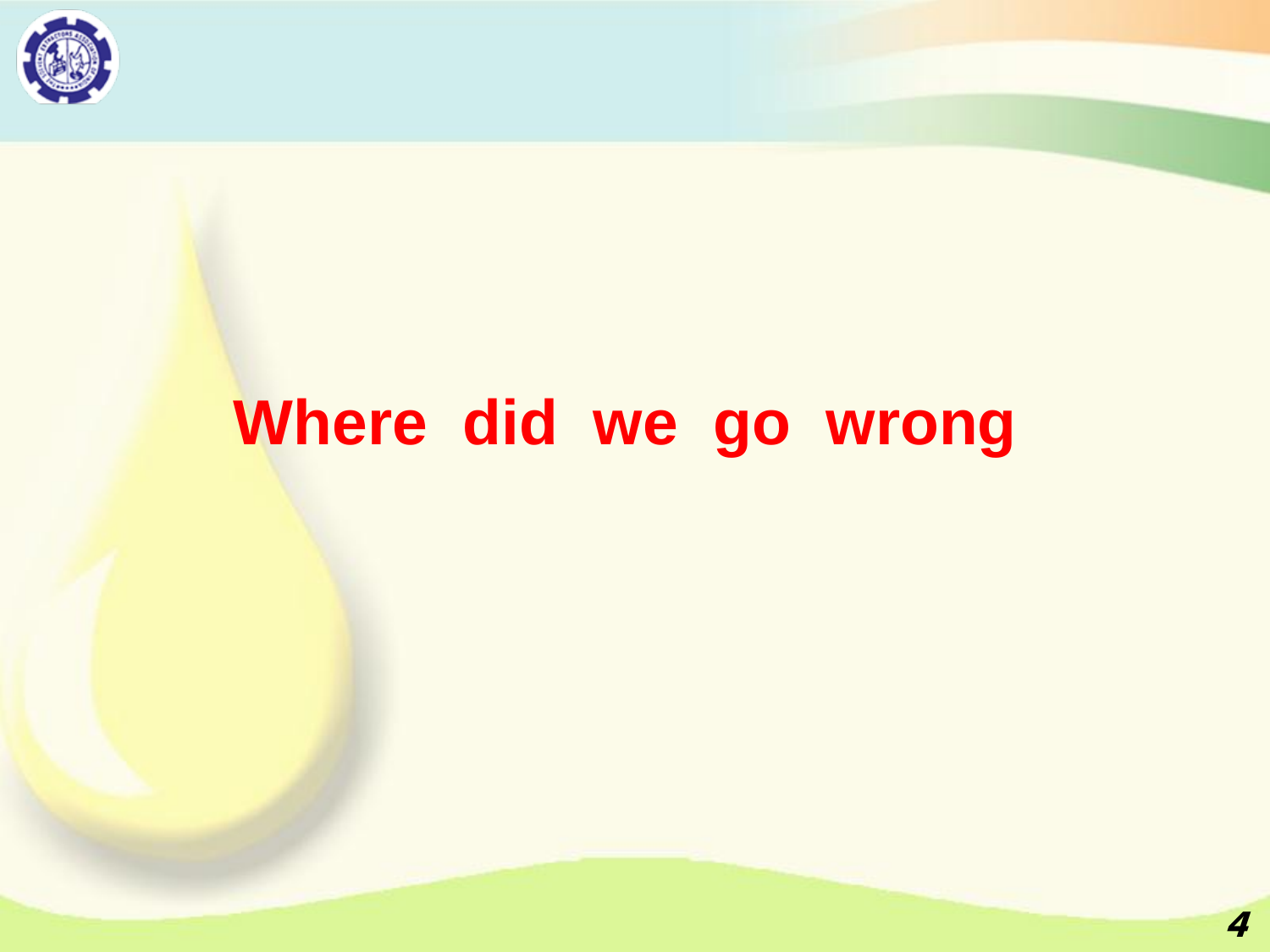

## **Where did we go wrong**

**4**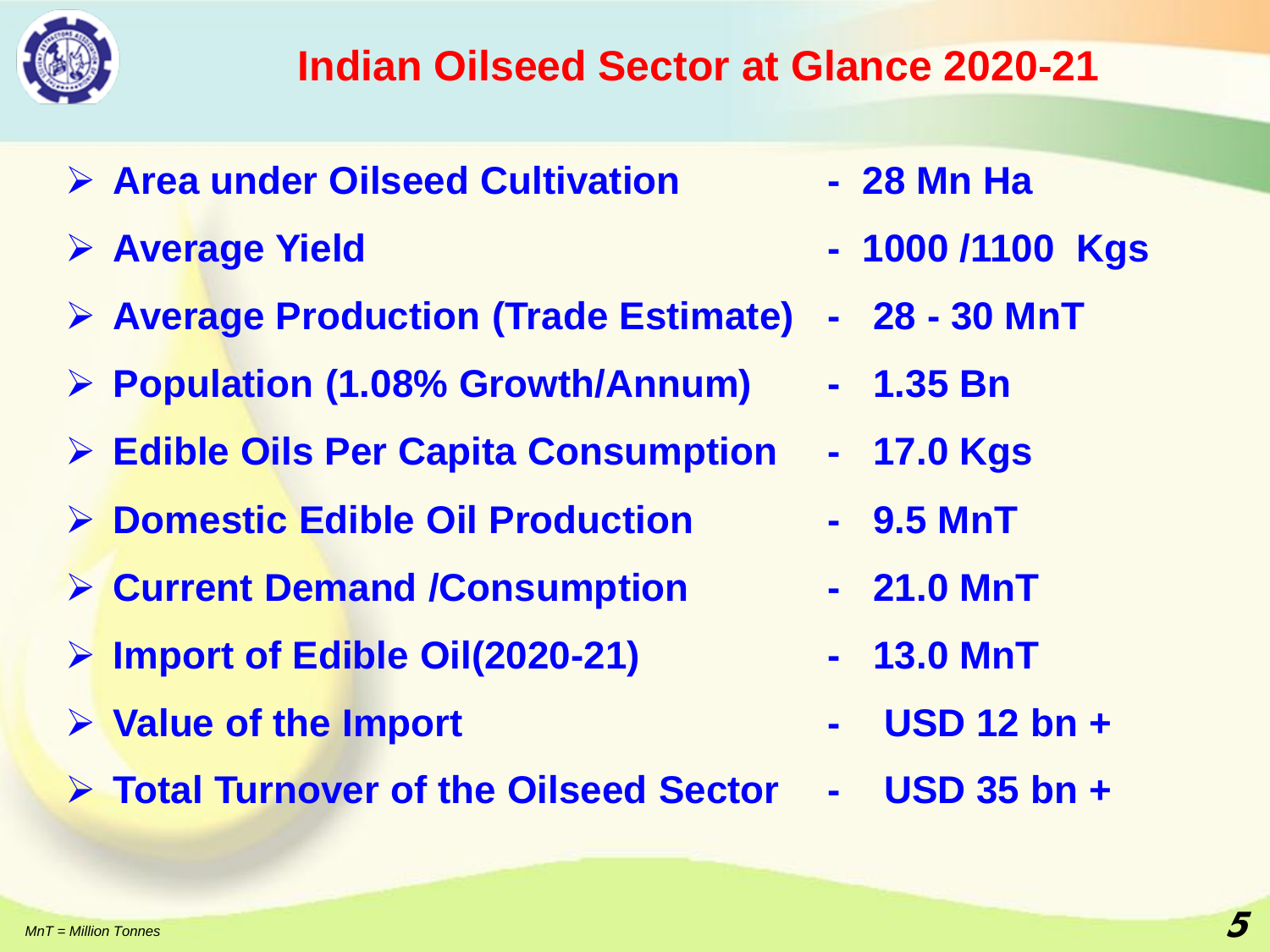

- ➢ **Area under Oilseed Cultivation - 28 Mn Ha**
- 
- ➢ **Average Production (Trade Estimate) - 28 - 30 MnT**
- ➢ **Population (1.08% Growth/Annum) - 1.35 Bn**
- ➢ **Edible Oils Per Capita Consumption - 17.0 Kgs**
- ➢ **Domestic Edible Oil Production - 9.5 MnT**
- ➢ **Current Demand /Consumption - 21.0 MnT**
- ➢ **Import of Edible Oil(2020-21) - 13.0 MnT**
- ➢ **Value of the Import - USD 12 bn +**
- ➢ **Total Turnover of the Oilseed Sector - USD 35 bn +**
- 
- ➢ **Average Yield - 1000 /1100 Kgs**
	-
	-
	-
	-
	-
	-
	- -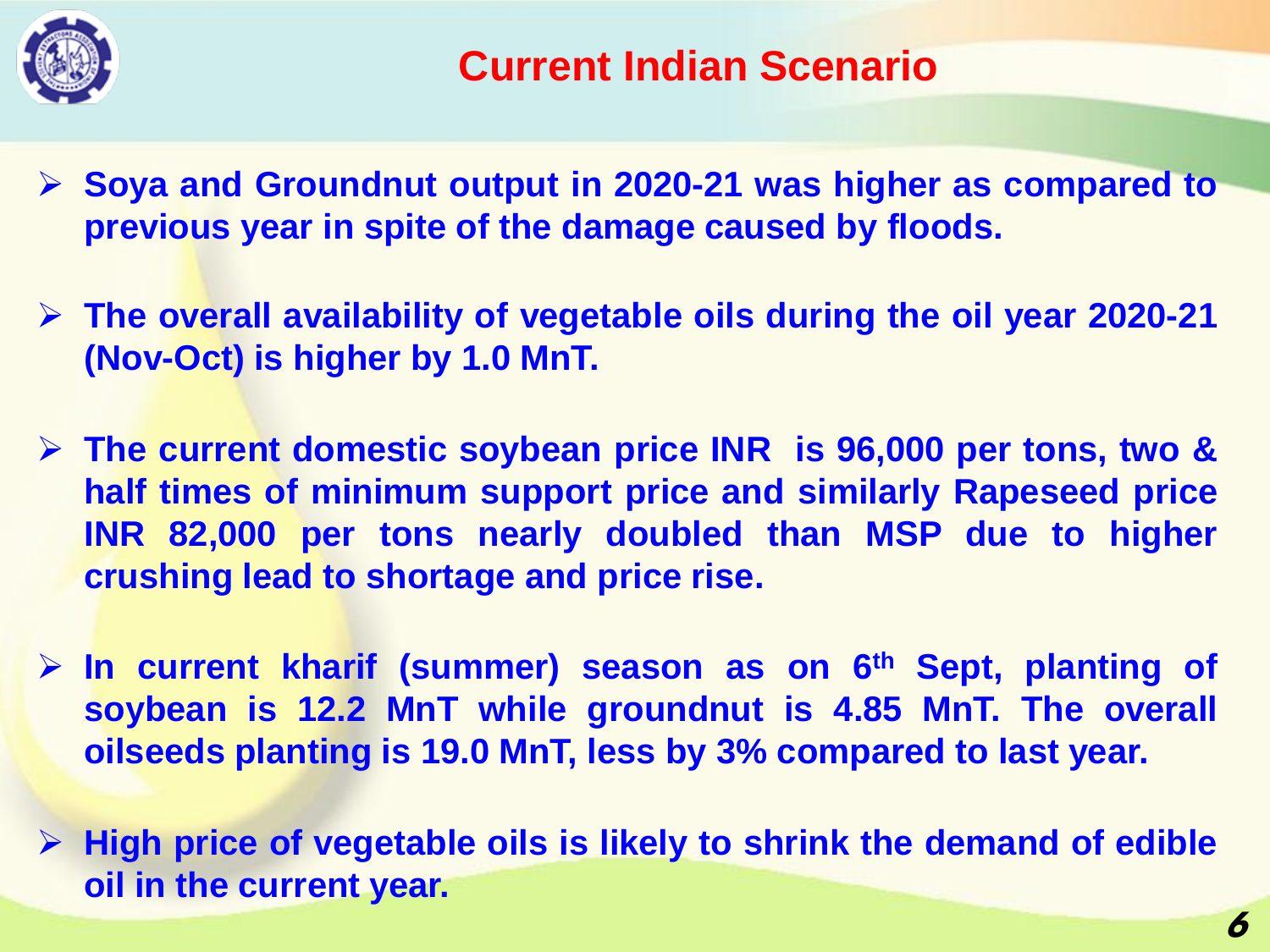

- ➢ **Soya and Groundnut output in 2020-21 was higher as compared to previous year in spite of the damage caused by floods.**
- ➢ **The overall availability of vegetable oils during the oil year 2020-21 (Nov-Oct) is higher by 1.0 MnT.**
- ➢ **The current domestic soybean price INR is 96,000 per tons, two & half times of minimum support price and similarly Rapeseed price INR 82,000 per tons nearly doubled than MSP due to higher crushing lead to shortage and price rise.**
- ➢ **In current kharif (summer) season as on 6 th Sept, planting of soybean is 12.2 MnT while groundnut is 4.85 MnT. The overall oilseeds planting is 19.0 MnT, less by 3% compared to last year.**
- ➢ **High price of vegetable oils is likely to shrink the demand of edible oil in the current year.**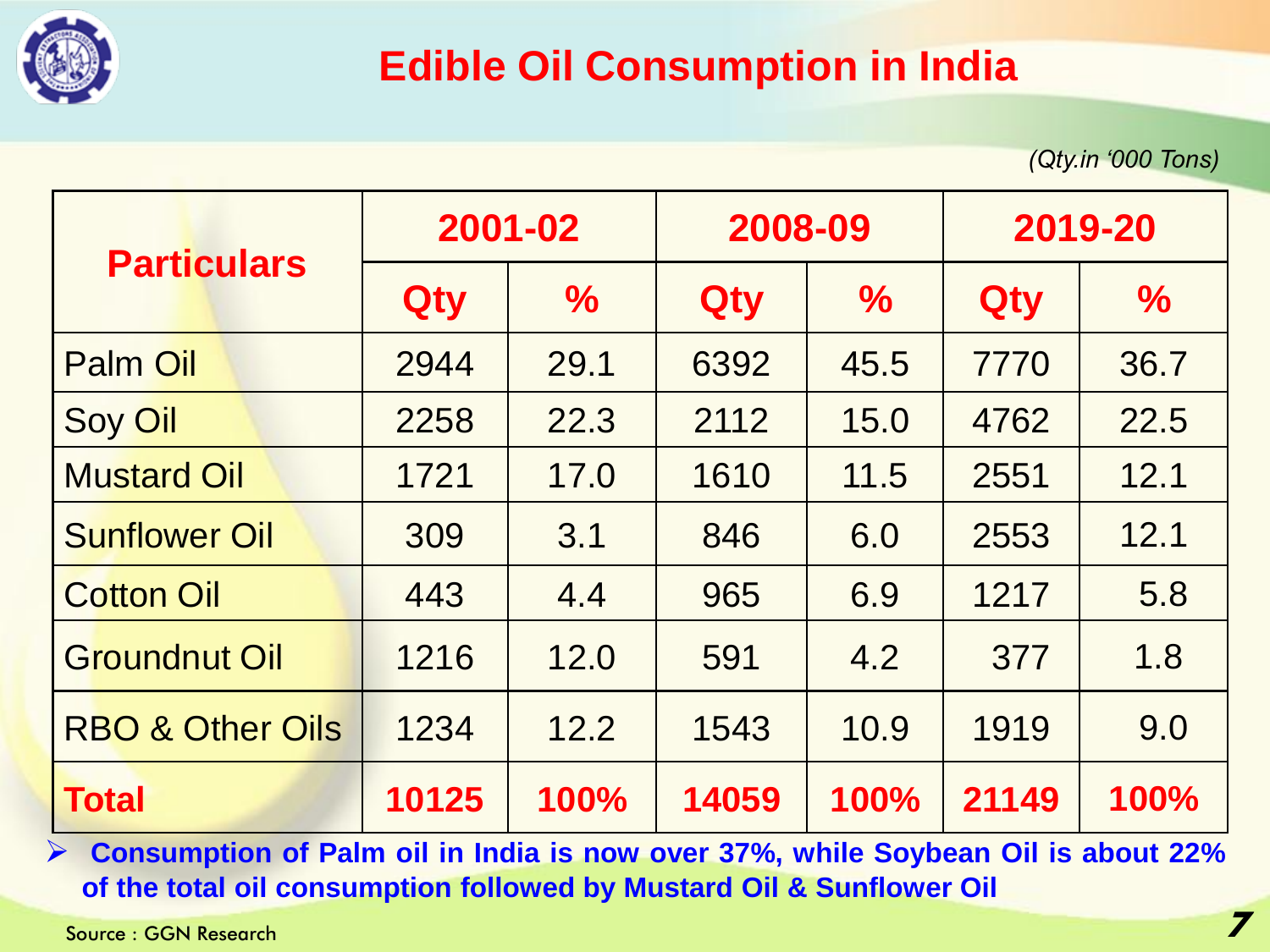

#### **Edible Oil Consumption in India**

*(Qty.in '000 Tons)*

|                             | 2001-02 |               | 2008-09 |               | 2019-20 |               |
|-----------------------------|---------|---------------|---------|---------------|---------|---------------|
| <b>Particulars</b>          | Qty     | $\frac{1}{2}$ | Qty     | $\frac{1}{2}$ | Qty     | $\frac{1}{2}$ |
| <b>Palm Oil</b>             | 2944    | 29.1          | 6392    | 45.5          | 7770    | 36.7          |
| <b>Soy Oil</b>              | 2258    | 22.3          | 2112    | 15.0          | 4762    | 22.5          |
| <b>Mustard Oil</b>          | 1721    | 17.0          | 1610    | 11.5          | 2551    | 12.1          |
| <b>Sunflower Oil</b>        | 309     | 3.1           | 846     | 6.0           | 2553    | 12.1          |
| <b>Cotton Oil</b>           | 443     | 4.4           | 965     | 6.9           | 1217    | 5.8           |
| <b>Groundnut Oil</b>        | 1216    | 12.0          | 591     | 4.2           | 377     | 1.8           |
| <b>RBO &amp; Other Oils</b> | 1234    | 12.2          | 1543    | 10.9          | 1919    | 9.0           |
| <b>Total</b>                | 10125   | 100%          | 14059   | 100%          | 21149   | 100%          |

➢ **Consumption of Palm oil in India is now over 37%, while Soybean Oil is about 22% of the total oil consumption followed by Mustard Oil & Sunflower Oil**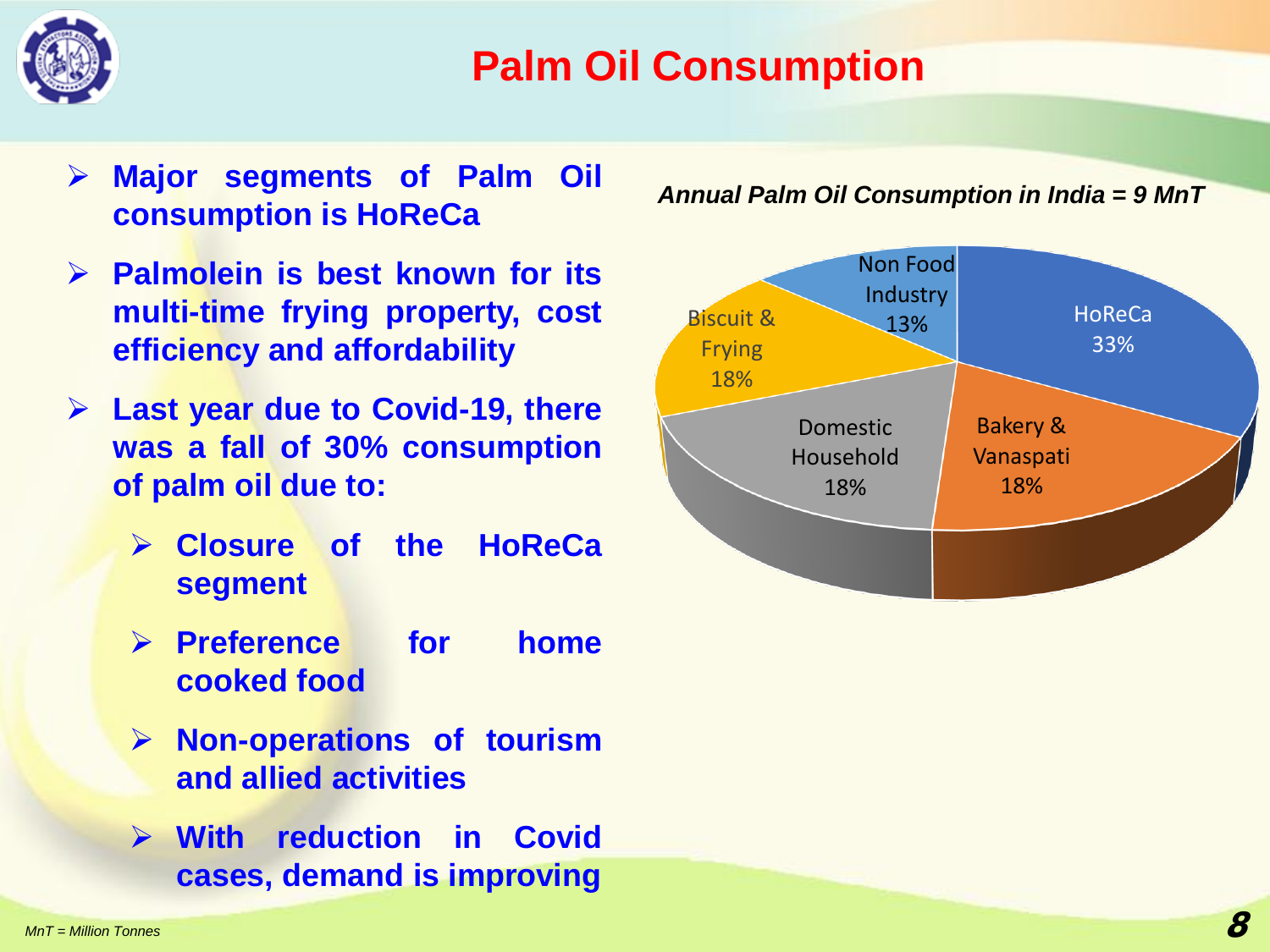

### **Palm Oil Consumption**

- ➢ **Major segments of Palm Oil consumption is HoReCa**
- ➢ **Palmolein is best known for its multi-time frying property, cost efficiency and affordability**
- ➢ **Last year due to Covid-19, there was a fall of 30% consumption of palm oil due to:**
	- ➢ **Closure of the HoReCa segment**
	- ➢ **Preference for home cooked food**
	- ➢ **Non-operations of tourism and allied activities**
	- ➢ **With reduction in Covid cases, demand is improving**

*Annual Palm Oil Consumption in India = 9 MnT*

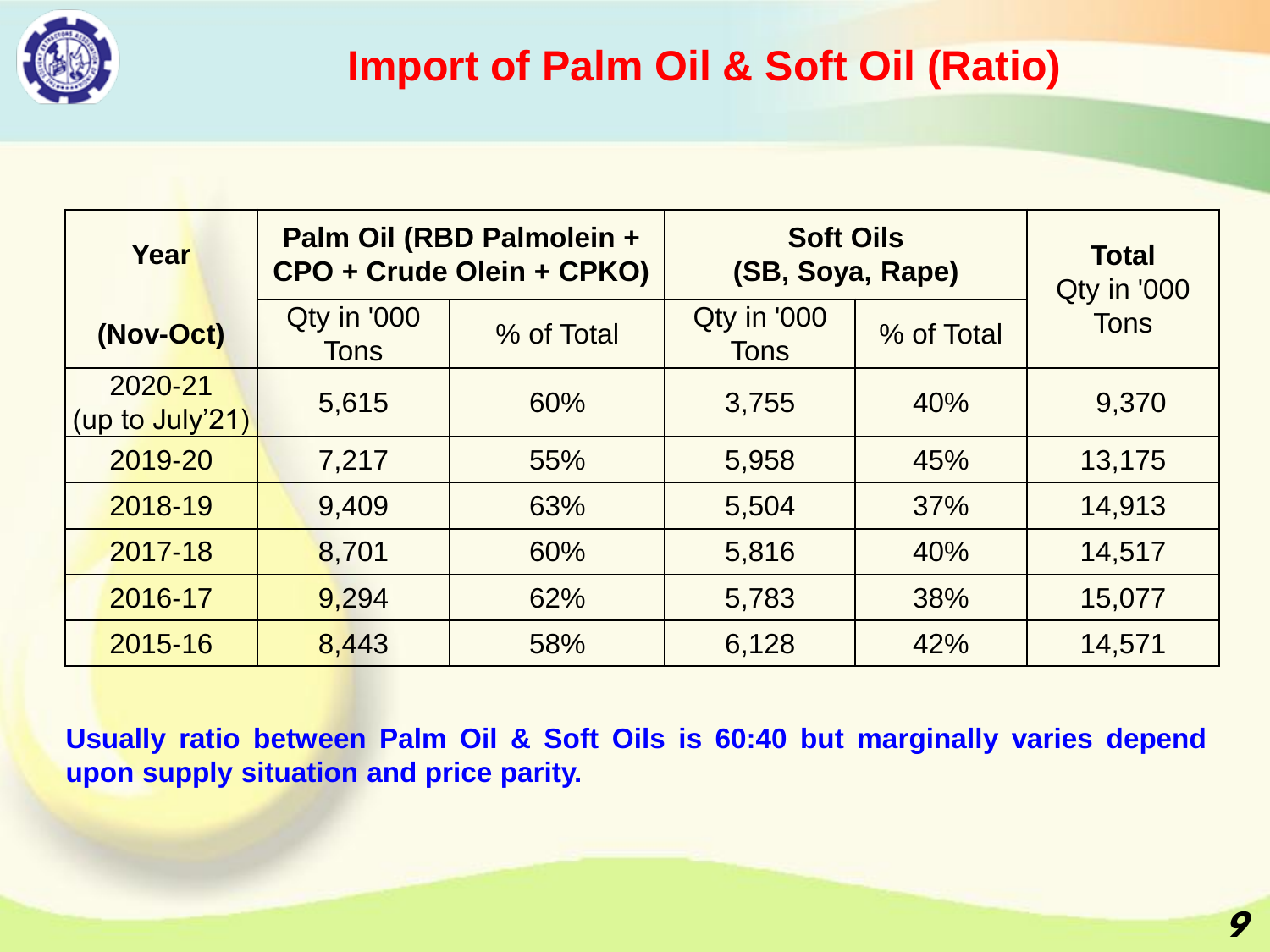

| Year                       |                            | Palm Oil (RBD Palmolein +<br>CPO + Crude Olein + CPKO) | <b>Soft Oils</b><br>(SB, Soya, Rape) | <b>Total</b><br>Qty in '000 |             |  |
|----------------------------|----------------------------|--------------------------------------------------------|--------------------------------------|-----------------------------|-------------|--|
| (Nov-Oct)                  | Qty in '000<br><b>Tons</b> | % of Total                                             | Qty in '000<br><b>Tons</b>           | % of Total                  | <b>Tons</b> |  |
| 2020-21<br>(up to July'21) | 5,615                      | 60%                                                    | 3,755                                | 40%                         | 9,370       |  |
| 2019-20                    | 7,217                      | 55%                                                    | 5,958                                | 45%                         | 13,175      |  |
| 2018-19                    | 9,409                      | 63%                                                    | 5,504                                | 37%                         | 14,913      |  |
| 2017-18                    | 8,701                      | 60%                                                    | 5,816                                | 40%                         | 14,517      |  |
| 2016-17                    | 9,294                      | 62%                                                    | 5,783                                | 38%                         | 15,077      |  |
| 2015-16                    | 8,443                      | 58%                                                    | 6,128                                | 42%                         | 14,571      |  |

**Usually ratio between Palm Oil & Soft Oils is 60:40 but marginally varies depend upon supply situation and price parity.**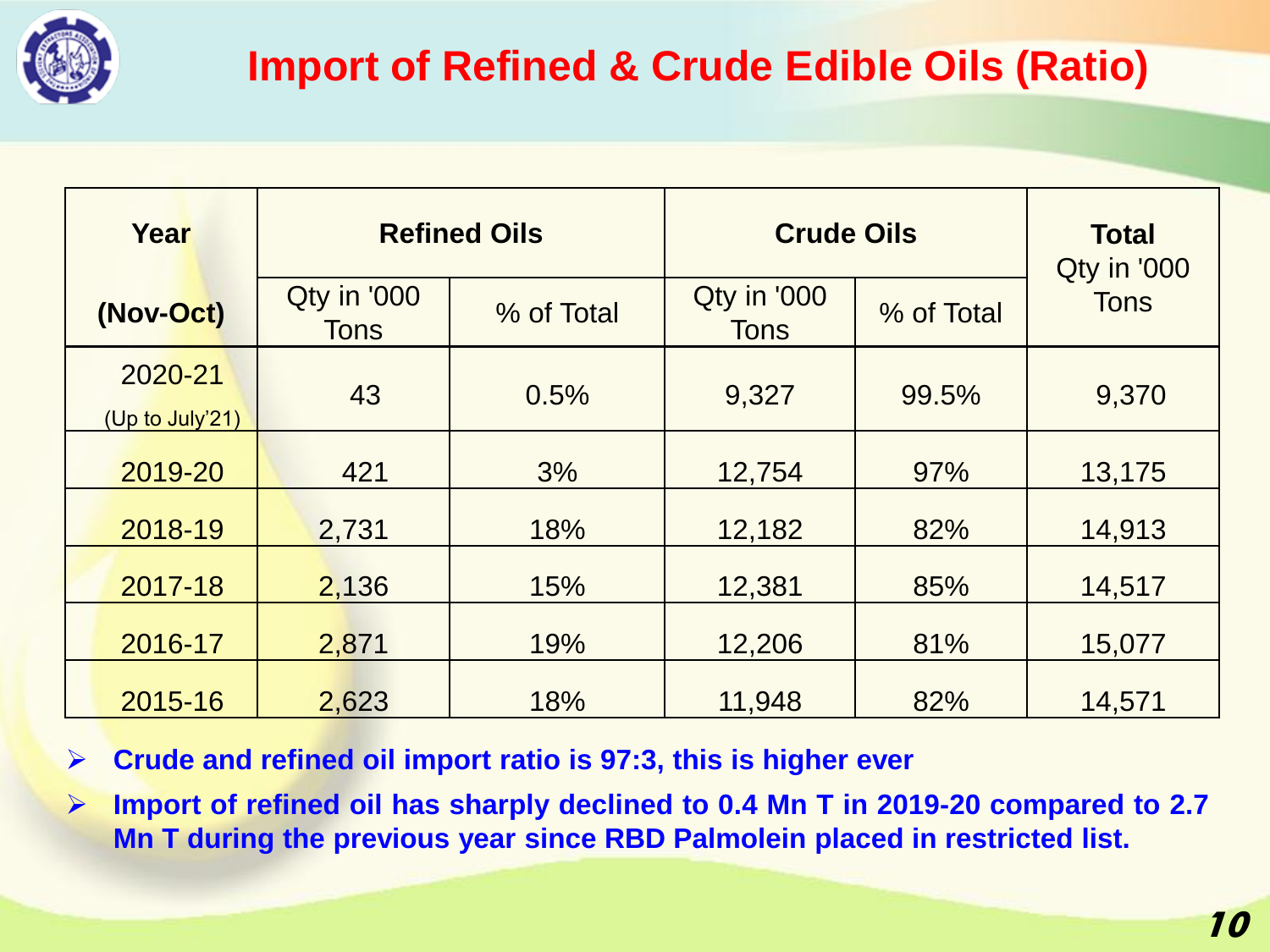

| Year                       | <b>Refined Oils</b>        |            | <b>Crude Oils</b>          | <b>Total</b><br>Qty in '000 |             |  |
|----------------------------|----------------------------|------------|----------------------------|-----------------------------|-------------|--|
| (Nov-Oct)                  | Qty in '000<br><b>Tons</b> | % of Total | Qty in '000<br><b>Tons</b> | % of Total                  | <b>Tons</b> |  |
| 2020-21<br>(Up to July'21) | 43<br>0.5%                 |            | 9,327                      | 99.5%                       | 9,370       |  |
| 2019-20                    | 421                        | 3%         | 12,754                     | 97%                         | 13,175      |  |
| 2018-19                    | 2,731                      | 18%        | 12,182                     | 82%                         | 14,913      |  |
| 2017-18                    | 2,136                      | 15%        | 12,381                     | 85%                         | 14,517      |  |
| 2016-17                    | 2,871                      | 19%        | 12,206                     | 81%                         | 15,077      |  |
| 2015-16                    | 2,623                      | 18%        | 11,948                     | 82%                         | 14,571      |  |

➢ **Crude and refined oil import ratio is 97:3, this is higher ever**

➢ **Import of refined oil has sharply declined to 0.4 Mn T in 2019-20 compared to 2.7 Mn T during the previous year since RBD Palmolein placed in restricted list.**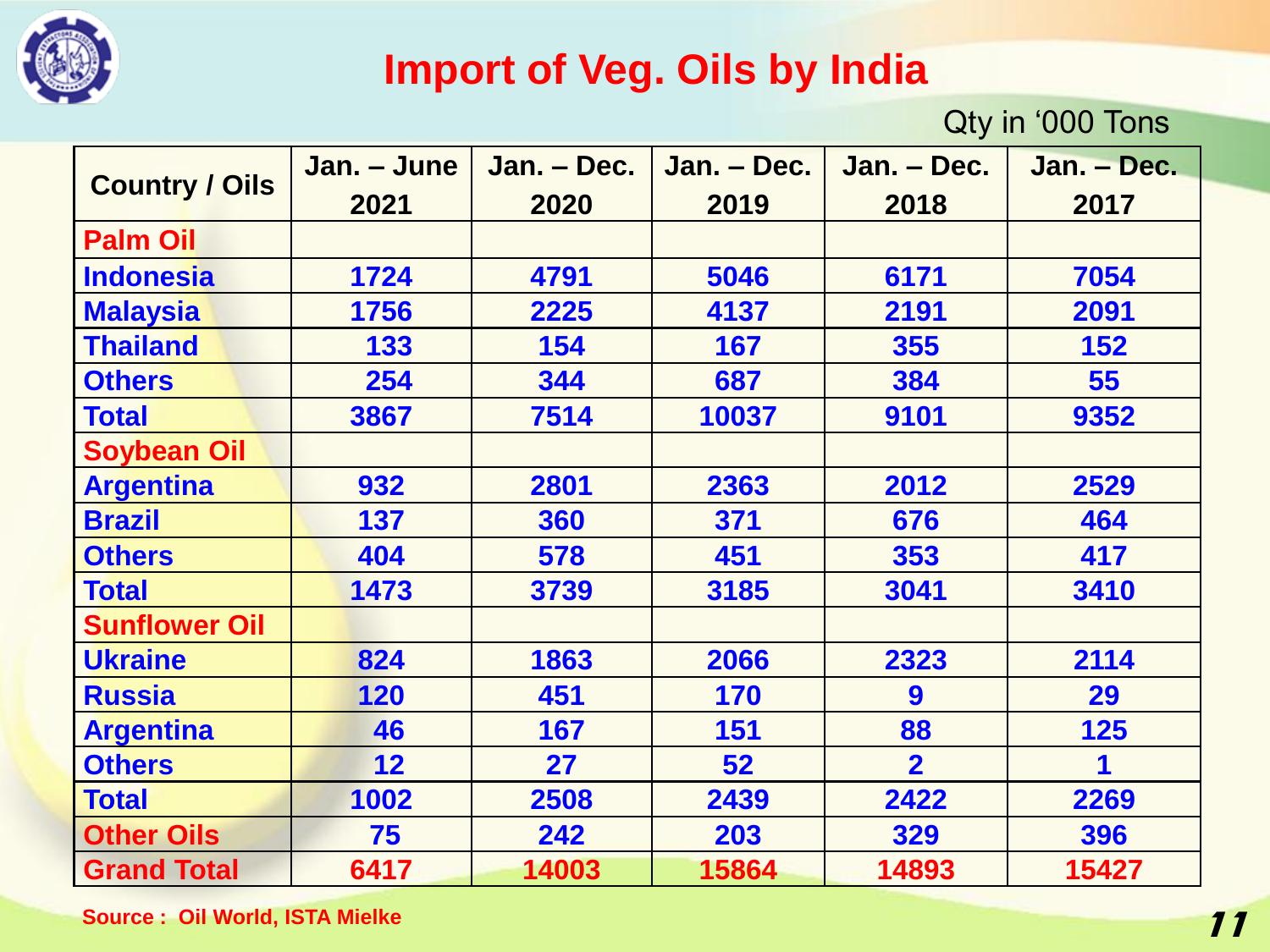

#### **Import of Veg. Oils by India**

Qty in '000 Tons

|                       | Jan. – June | Jan. - Dec. | Jan. - Dec. | Jan. – Dec.    | Jan. - Dec. |
|-----------------------|-------------|-------------|-------------|----------------|-------------|
| <b>Country / Oils</b> | 2021        | 2020        | 2019        | 2018           | 2017        |
| <b>Palm Oil</b>       |             |             |             |                |             |
| <b>Indonesia</b>      | 1724        | 4791        | 5046        | 6171           | 7054        |
| <b>Malaysia</b>       | 1756        | 2225        | 4137        | 2191           | 2091        |
| <b>Thailand</b>       | 133         | 154         | 167         | 355            | 152         |
| <b>Others</b>         | 254         | 344         | 687         | 384            | 55          |
| <b>Total</b>          | 3867        | 7514        | 10037       | 9101           | 9352        |
| <b>Soybean Oil</b>    |             |             |             |                |             |
| <b>Argentina</b>      | 932         | 2801        | 2363        | 2012           | 2529        |
| <b>Brazil</b>         | 137         | 360         | 371         | 676            | 464         |
| <b>Others</b>         | 404         | 578         | 451         | 353            | 417         |
| <b>Total</b>          | 1473        | 3739        | 3185        | 3041           | 3410        |
| <b>Sunflower Oil</b>  |             |             |             |                |             |
| <b>Ukraine</b>        | 824         | 1863        | 2066        | 2323           | 2114        |
| <b>Russia</b>         | 120         | 451         | 170         | 9              | 29          |
| <b>Argentina</b>      | 46          | 167         | 151<br>88   |                | 125         |
| <b>Others</b>         | 12          | 27          | 52          | $\overline{2}$ | 1           |
| <b>Total</b>          | 1002        | 2508        | 2439        | 2422           | 2269        |
| <b>Other Oils</b>     | 75          | 242         | 203         | 329            | 396         |
| <b>Grand Total</b>    | 6417        | 14003       | 15864       | 14893          | 15427       |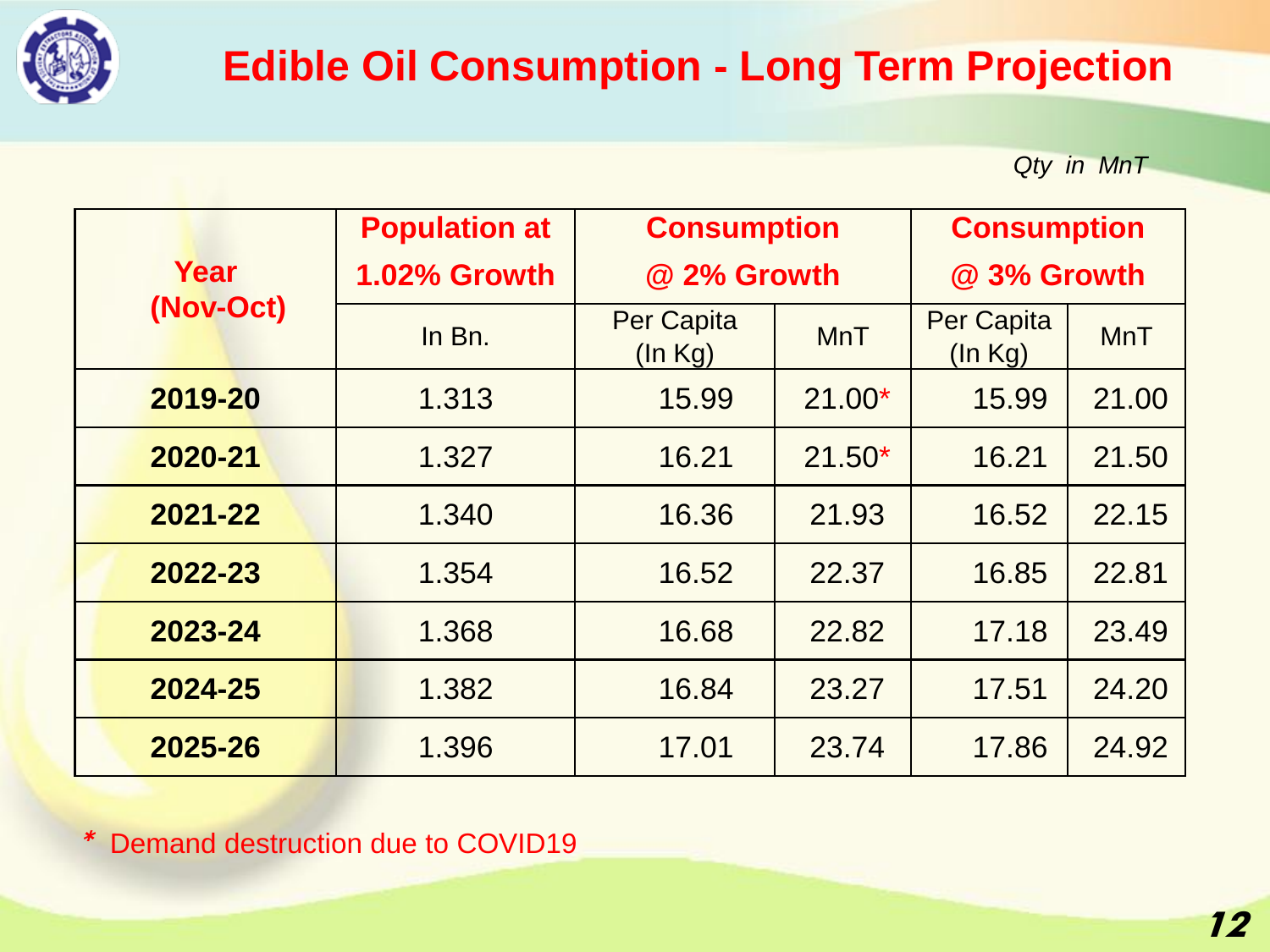

## **Edible Oil Consumption - Long Term Projection**

*Qty in MnT*

|                   | <b>Population at</b><br><b>Consumption</b> |                              |            | <b>Consumption</b>           |            |  |
|-------------------|--------------------------------------------|------------------------------|------------|------------------------------|------------|--|
| Year<br>(Nov-Oct) | 1.02% Growth                               | @ 2% Growth                  |            | @ 3% Growth                  |            |  |
|                   | In Bn.                                     | <b>Per Capita</b><br>(ln Kg) | <b>MnT</b> | <b>Per Capita</b><br>(ln Kg) | <b>MnT</b> |  |
| 2019-20           | 1.313                                      | 15.99                        | $21.00*$   | 15.99                        | 21.00      |  |
| 2020-21           | 1.327                                      |                              | $21.50*$   | 16.21                        | 21.50      |  |
| 2021-22           | 1.340                                      |                              | 21.93      | 16.52                        | 22.15      |  |
| 2022-23           | 1.354                                      |                              | 22.37      | 16.85                        | 22.81      |  |
| 2023-24           | 1.368                                      | 16.68                        | 22.82      | 17.18                        | 23.49      |  |
| 2024-25           | 1.382                                      | 16.84                        | 23.27      | 17.51                        | 24.20      |  |
| 2025-26           | 1.396                                      | 17.01                        | 23.74      | 17.86                        | 24.92      |  |

\* Demand destruction due to COVID19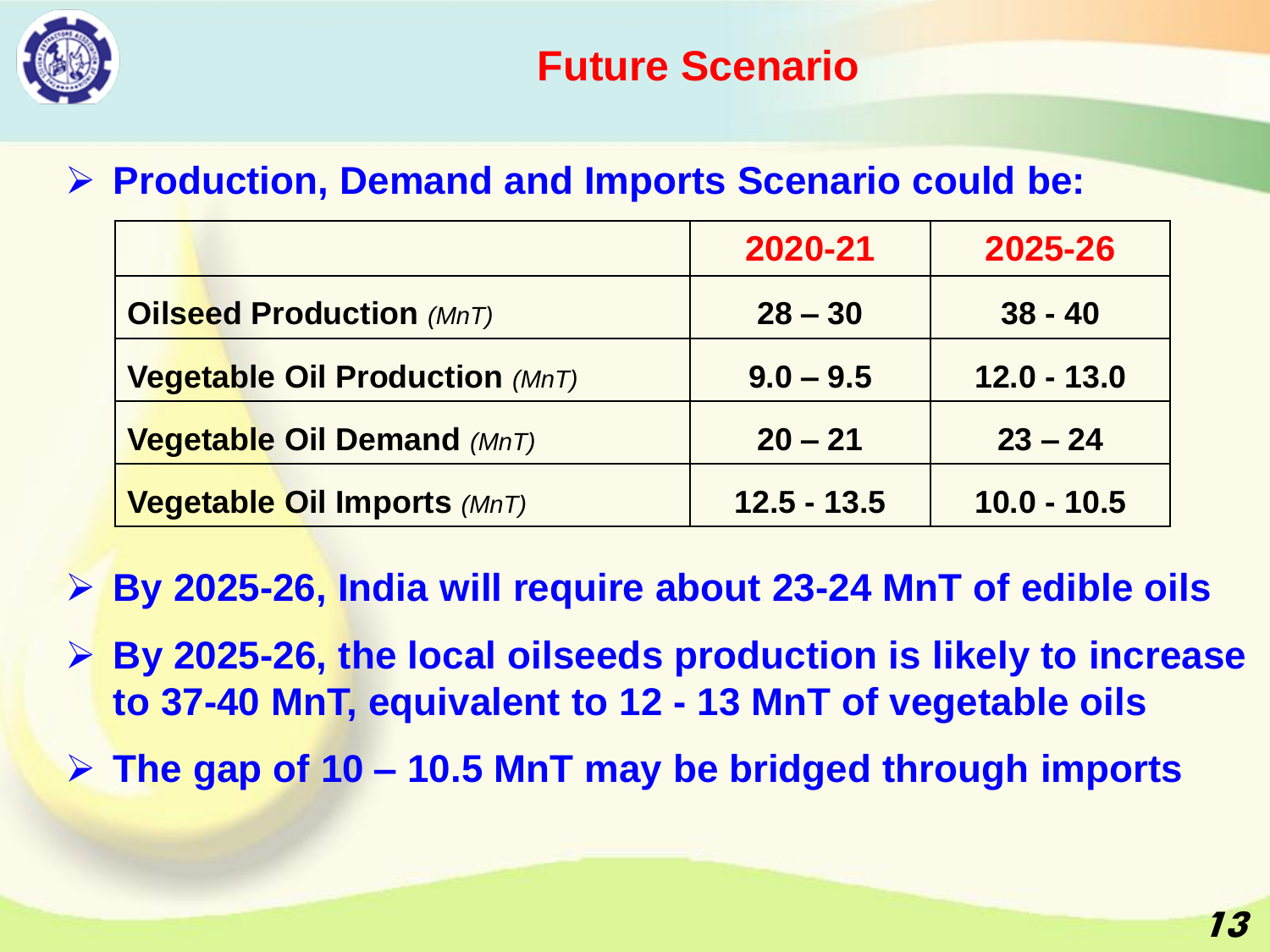

#### ➢ **Production, Demand and Imports Scenario could be:**

|                                       | 2020-21       | 2025-26       |
|---------------------------------------|---------------|---------------|
| <b>Oilseed Production (MnT)</b>       | $28 - 30$     | $38 - 40$     |
| <b>Vegetable Oil Production (MnT)</b> | $9.0 - 9.5$   | $12.0 - 13.0$ |
| <b>Vegetable Oil Demand (MnT)</b>     | $20 - 21$     | $23 - 24$     |
| <b>Vegetable Oil Imports (MnT)</b>    | $12.5 - 13.5$ | $10.0 - 10.5$ |

- ➢ **By 2025-26, India will require about 23-24 MnT of edible oils**
- ➢ **By 2025-26, the local oilseeds production is likely to increase to 37-40 MnT, equivalent to 12 - 13 MnT of vegetable oils**
- ➢ **The gap of 10 – 10.5 MnT may be bridged through imports**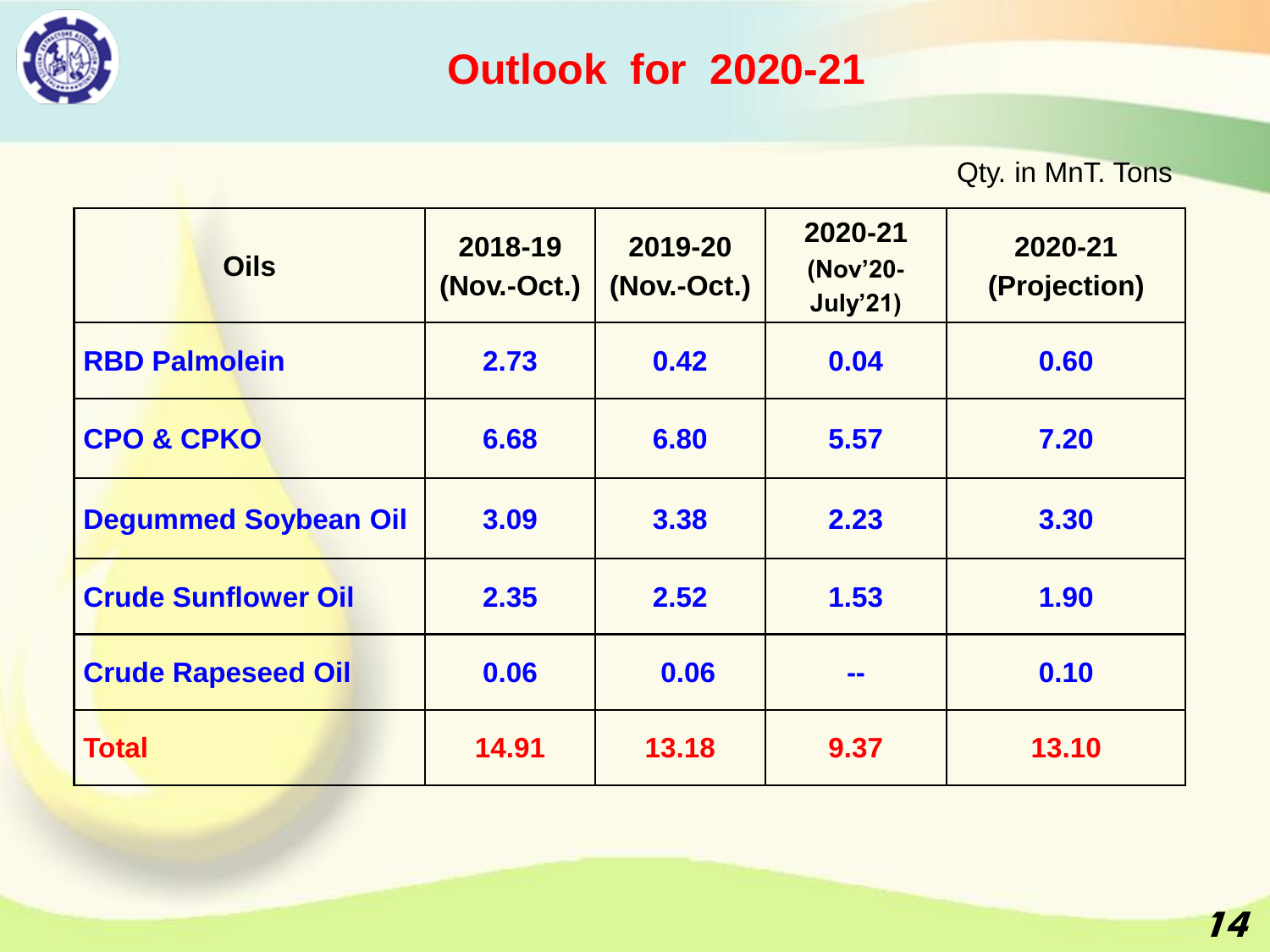

## **Outlook for 2020-21**

Qty. in MnT. Tons

| <b>Oils</b>                 | 2018-19<br>(Nov.-Oct.) | 2019-20<br>(Nov.-Oct.) | 2020-21<br>(Nov'20-<br><b>July'21)</b> | 2020-21<br>(Projection) |
|-----------------------------|------------------------|------------------------|----------------------------------------|-------------------------|
| <b>RBD Palmolein</b>        | 2.73                   | 0.42                   | 0.04                                   | 0.60                    |
| <b>CPO &amp; CPKO</b>       | 6.68                   | 6.80                   | 5.57                                   | 7.20                    |
| <b>Degummed Soybean Oil</b> | 3.09                   | 3.38                   | 2.23                                   | 3.30                    |
| <b>Crude Sunflower Oil</b>  | 2.35                   | 2.52                   | 1.53                                   | 1.90                    |
| <b>Crude Rapeseed Oil</b>   | 0.06                   | 0.06                   | $\blacksquare$                         | 0.10                    |
| <b>Total</b>                | 14.91                  | 13.18                  | 9.37                                   | 13.10                   |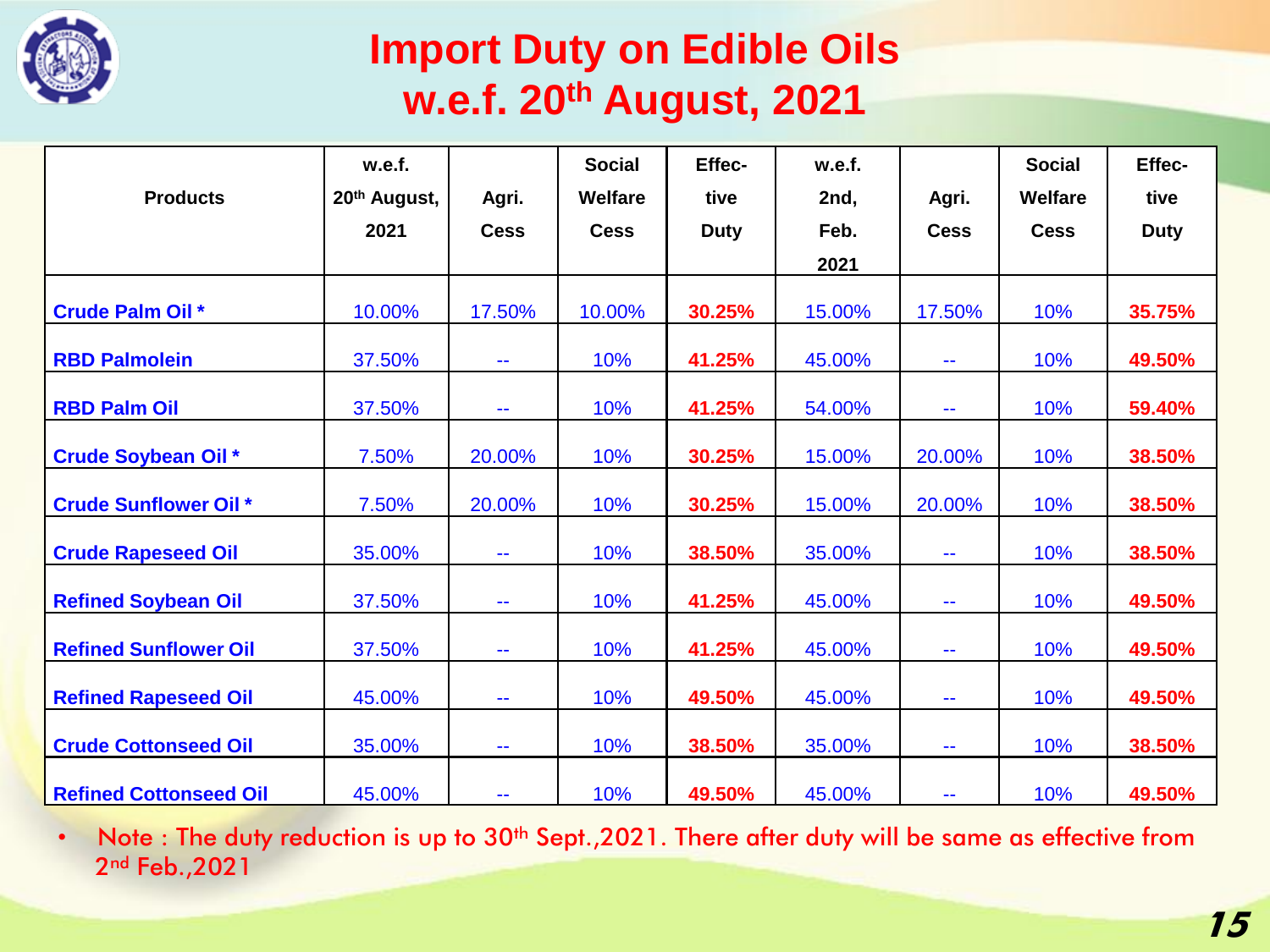

### **Import Duty on Edible Oils w.e.f. 20th August, 2021**

|                               | w.e.f.       |             | <b>Social</b>  | Effec-      | w.e.f. |                          | <b>Social</b> | Effec-      |
|-------------------------------|--------------|-------------|----------------|-------------|--------|--------------------------|---------------|-------------|
| <b>Products</b>               | 20th August, | Agri.       | <b>Welfare</b> | tive        | 2nd,   | Agri.                    | Welfare       | tive        |
|                               | 2021         | <b>Cess</b> | <b>Cess</b>    | <b>Duty</b> | Feb.   | <b>Cess</b>              | <b>Cess</b>   | <b>Duty</b> |
|                               |              |             |                |             | 2021   |                          |               |             |
| <b>Crude Palm Oil *</b>       | 10.00%       | 17.50%      | 10.00%         | 30.25%      | 15.00% | 17.50%                   | 10%           | 35.75%      |
| <b>RBD Palmolein</b>          | 37.50%       | 44          | 10%            | 41.25%      | 45.00% | $\sim$ $\sim$            | 10%           | 49.50%      |
| <b>RBD Palm Oil</b>           | 37.50%       | 44          | 10%            | 41.25%      | 54.00% | $\sim$ $\sim$            | 10%           | 59.40%      |
| <b>Crude Soybean Oil *</b>    | 7.50%        | 20.00%      | 10%            | 30.25%      | 15.00% | 20.00%                   | 10%           | 38.50%      |
| <b>Crude Sunflower Oil *</b>  | 7.50%        | 20.00%      | 10%            | 30.25%      | 15.00% | 20.00%                   | 10%           | 38.50%      |
| <b>Crude Rapeseed Oil</b>     | 35.00%       | 44          | 10%            | 38.50%      | 35.00% | $\sim$ $\sim$            | 10%           | 38.50%      |
| <b>Refined Soybean Oil</b>    | 37.50%       | 44          | 10%            | 41.25%      | 45.00% | $\sim$ $\sim$            | 10%           | 49.50%      |
| <b>Refined Sunflower Oil</b>  | 37.50%       | 44          | 10%            | 41.25%      | 45.00% | $\sim$ $\sim$            | 10%           | 49.50%      |
| <b>Refined Rapeseed Oil</b>   | 45.00%       | 44          | 10%            | 49.50%      | 45.00% | $\sim$                   | 10%           | 49.50%      |
| <b>Crude Cottonseed Oil</b>   | 35.00%       | ۰.          | 10%            | 38.50%      | 35.00% | $\overline{\phantom{a}}$ | 10%           | 38.50%      |
| <b>Refined Cottonseed Oil</b> | 45.00%       | 44          | 10%            | 49.50%      | 45.00% | --                       | 10%           | 49.50%      |

• Note : The duty reduction is up to 30<sup>th</sup> Sept., 2021. There after duty will be same as effective from 2<sup>nd</sup> Feb., 2021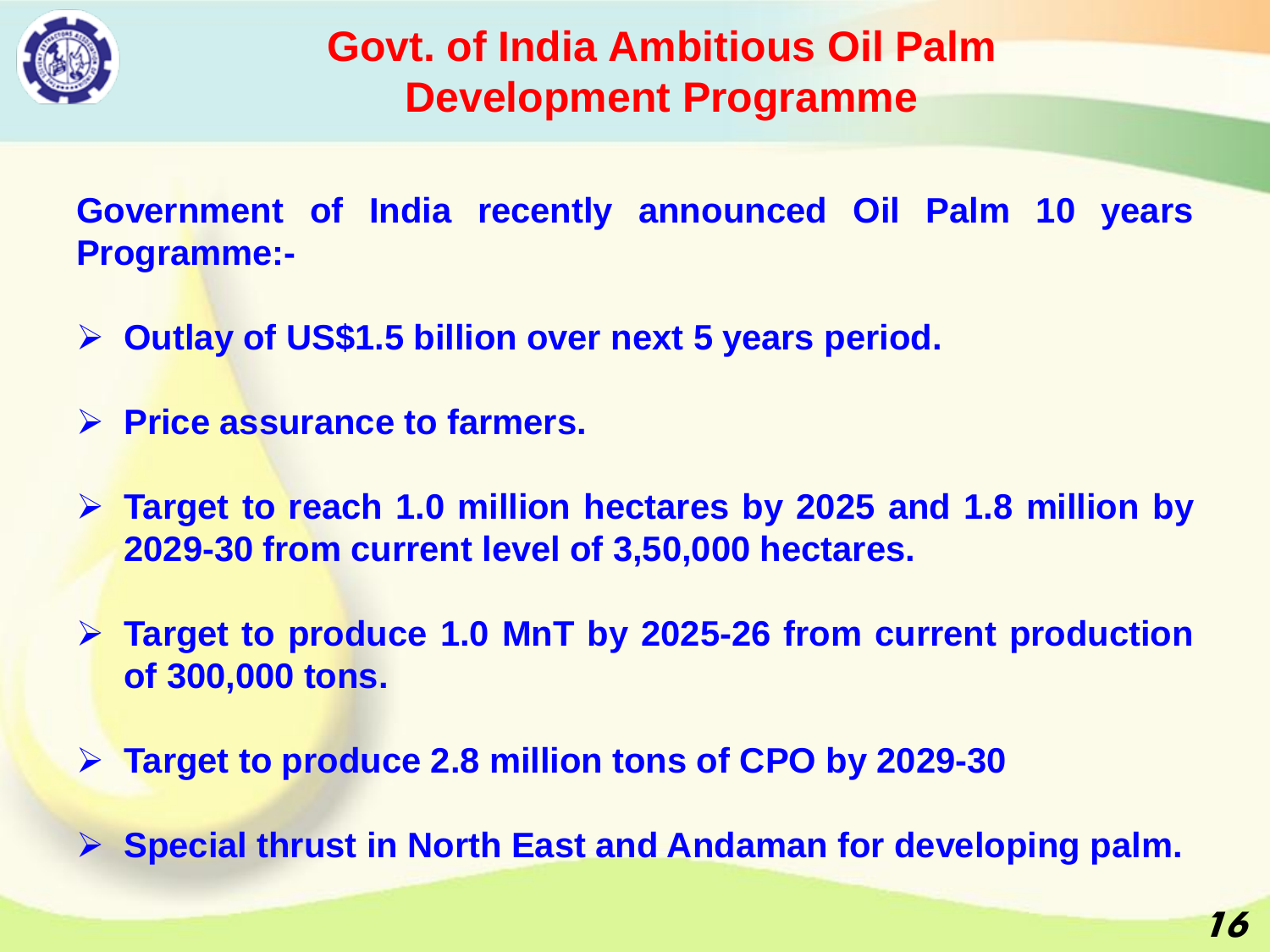

#### **Govt. of India Ambitious Oil Palm Development Programme**

**Government of India recently announced Oil Palm 10 years Programme:-**

- ➢ **Outlay of US\$1.5 billion over next 5 years period.**
- ➢ **Price assurance to farmers.**
- ➢ **Target to reach 1.0 million hectares by 2025 and 1.8 million by 2029-30 from current level of 3,50,000 hectares.**
- ➢ **Target to produce 1.0 MnT by 2025-26 from current production of 300,000 tons.**
- ➢ **Target to produce 2.8 million tons of CPO by 2029-30**
- ➢ **Special thrust in North East and Andaman for developing palm.**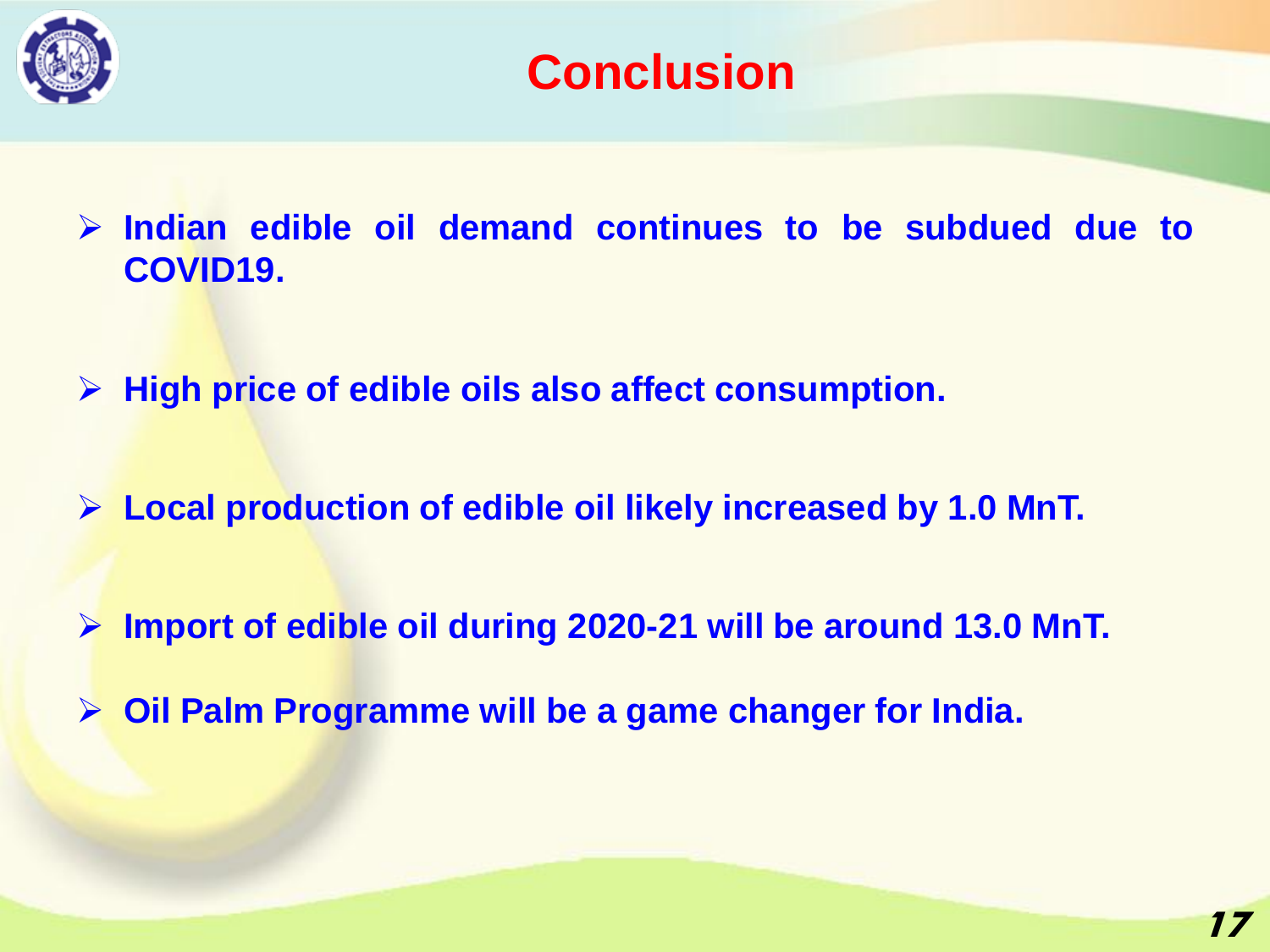



➢ **Indian edible oil demand continues to be subdued due to COVID19.**

➢ **High price of edible oils also affect consumption.**

➢ **Local production of edible oil likely increased by 1.0 MnT.**

➢ **Import of edible oil during 2020-21 will be around 13.0 MnT.**

➢ **Oil Palm Programme will be a game changer for India.**